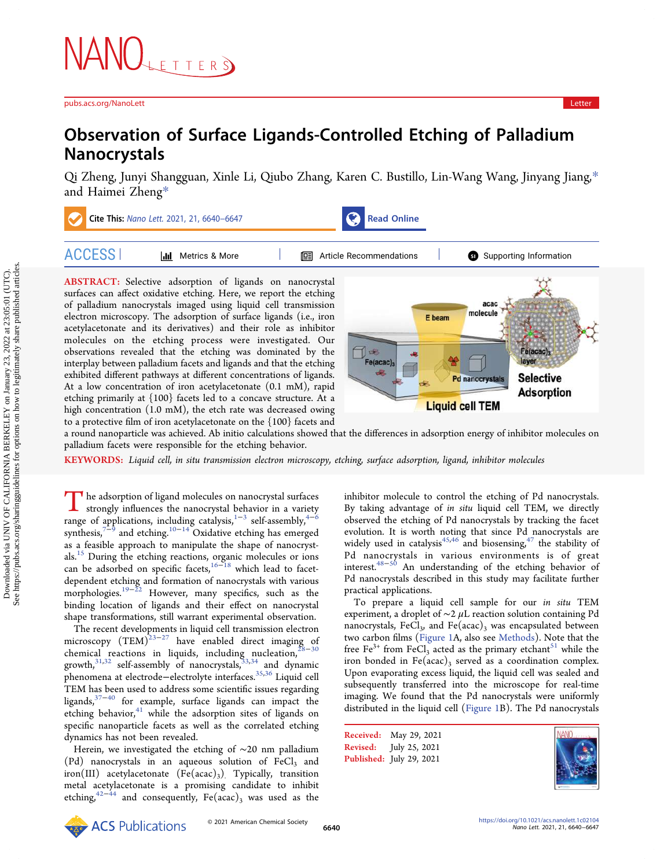# Observation of Surface Ligands-Controlled Etching of Palladium Nanocrystals

[Qi Zheng,](https://pubs.acs.org/action/doSearch?field1=Contrib&text1="Qi+Zheng"&field2=AllField&text2=&publication=&accessType=allContent&Earliest=&ref=pdf) [Junyi Shangguan,](https://pubs.acs.org/action/doSearch?field1=Contrib&text1="Junyi+Shangguan"&field2=AllField&text2=&publication=&accessType=allContent&Earliest=&ref=pdf) [Xinle Li,](https://pubs.acs.org/action/doSearch?field1=Contrib&text1="Xinle+Li"&field2=AllField&text2=&publication=&accessType=allContent&Earliest=&ref=pdf) [Qiubo Zhang,](https://pubs.acs.org/action/doSearch?field1=Contrib&text1="Qiubo+Zhang"&field2=AllField&text2=&publication=&accessType=allContent&Earliest=&ref=pdf) [Karen C. Bustillo,](https://pubs.acs.org/action/doSearch?field1=Contrib&text1="Karen+C.+Bustillo"&field2=AllField&text2=&publication=&accessType=allContent&Earliest=&ref=pdf) [Lin-Wang Wang,](https://pubs.acs.org/action/doSearch?field1=Contrib&text1="Lin-Wang+Wang"&field2=AllField&text2=&publication=&accessType=allContent&Earliest=&ref=pdf) [Jinyang Jiang,](https://pubs.acs.org/action/doSearch?field1=Contrib&text1="Jinyang+Jiang"&field2=AllField&text2=&publication=&accessType=allContent&Earliest=&ref=pdf)[\\*](#page-5-0) [and Haimei Zheng](https://pubs.acs.org/action/doSearch?field1=Contrib&text1="Haimei+Zheng"&field2=AllField&text2=&publication=&accessType=allContent&Earliest=&ref=pdf)[\\*](#page-5-0)



to a protective film of iron acetylacetonate on the {100} facets and a round nanoparticle was achieved. Ab initio calculations showed that the differences in adsorption energy of inhibitor molecules on palladium facets were responsible for the etching behavior.

KEYWORDS: Liquid cell, in situ transmission electron microscopy, etching, surface adsorption, ligand, inhibitor molecules

The adsorption of ligand molecules on nanocrystal surfaces strongly influences the nanocrystal behavior in a variety range of applications, including catalysis,<sup>1-3</sup> self-assembly,<sup>4-6</sup> synthesis,<sup>[7](#page-6-0)−[9](#page-6-0)</sup> and etching.<sup>[10](#page-6-0)−[14](#page-6-0)</sup> Oxidative etching has emerged as a feasible approach to manipulate the shape of nanocrystals.<sup>15</sup> During the etching reactions, organic molecules or ions can be adsorbed on specific facets,<sup>16–[18](#page-6-0)</sup> which lead to facetdependent etching and formation of nanocrystals with various morphologies.[19](#page-6-0)−[22](#page-6-0) However, many specifics, such as the binding location of ligands and their effect on nanocrystal shape transformations, still warrant experimental observation.

The recent developments in liquid cell transmission electron microscopy  $(TEM)^{23-27}$  $(TEM)^{23-27}$  $(TEM)^{23-27}$  $(TEM)^{23-27}$  $(TEM)^{23-27}$  have enabled direct imaging of chemical reactions in liquids, including nucleation, $^{28-30}$  $^{28-30}$  $^{28-30}$  $^{28-30}$  $^{28-30}$ growth, $31,32$  self-assembly of nanocrystals,  $33,34$  and dynamic phenomena at electrode−electrolyte interfaces.[35,36](#page-7-0) Liquid cell TEM has been used to address some scientific issues regarding ligands[,37](#page-7-0)<sup>−</sup>[40](#page-7-0) for example, surface ligands can impact the etching behavior,<sup>[41](#page-7-0)</sup> while the adsorption sites of ligands on specific nanoparticle facets as well as the correlated etching dynamics has not been revealed.

Herein, we investigated the etching of ∼20 nm palladium (Pd) nanocrystals in an aqueous solution of  $FeCl<sub>3</sub>$  and iron(III) acetylacetonate  $(Fe (acac)_3)$ . Typically, transition metal acetylacetonate is a promising candidate to inhibit etching,<sup>42−[44](#page-7-0)</sup> and consequently, Fe(acac)<sub>3</sub> was used as the

inhibitor molecule to control the etching of Pd nanocrystals. By taking advantage of in situ liquid cell TEM, we directly observed the etching of Pd nanocrystals by tracking the facet evolution. It is worth noting that since Pd nanocrystals are widely used in catalysis<sup>[45,46](#page-7-0)</sup> and biosensing,<sup>[47](#page-7-0)</sup> the stability of Pd nanocrystals in various environments is of great interest.[48](#page-7-0)<sup>−</sup>[50](#page-7-0) An understanding of the etching behavior of Pd nanocrystals described in this study may facilitate further practical applications.

To prepare a liquid cell sample for our in situ TEM experiment, a droplet of  $\sim$ 2 µL reaction solution containing Pd nanocrystals, FeCl<sub>3</sub>, and Fe(acac)<sub>3</sub> was encapsulated between two carbon films [\(Figure 1](#page-1-0)A, also see [Methods\)](#page-5-0). Note that the free Fe<sup>3+</sup> from FeCl<sub>3</sub> acted as the primary etchant<sup>[51](#page-7-0)</sup> while the iron bonded in Fe(acac)<sub>3</sub> served as a coordination complex. Upon evaporating excess liquid, the liquid cell was sealed and subsequently transferred into the microscope for real-time imaging. We found that the Pd nanocrystals were uniformly distributed in the liquid cell ([Figure 1B](#page-1-0)). The Pd nanocrystals

Received: May 29, 2021 Revised: July 25, 2021 Published: July 29, 2021



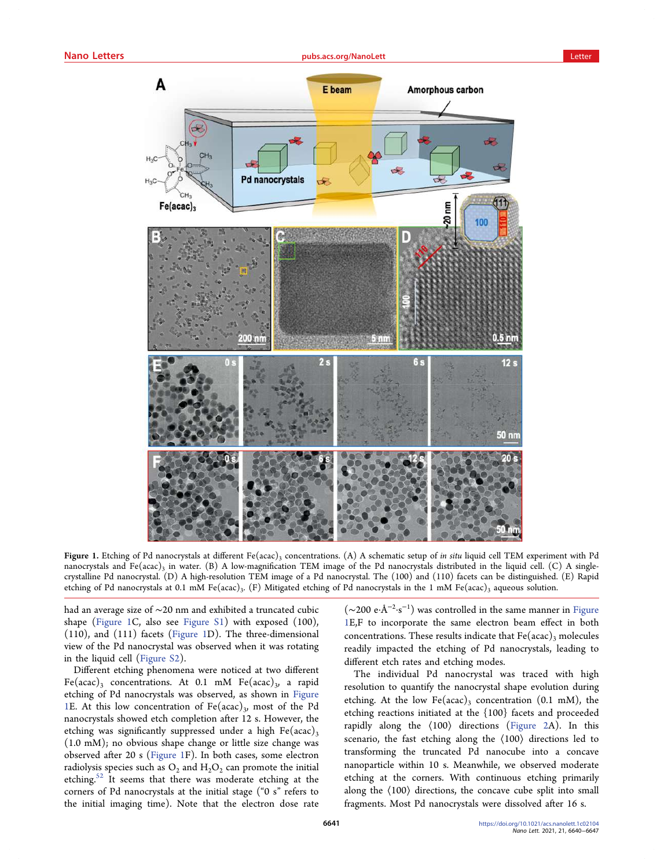<span id="page-1-0"></span>

Figure 1. Etching of Pd nanocrystals at different Fe(acac)<sub>3</sub> concentrations. (A) A schematic setup of *in situ* liquid cell TEM experiment with Pd nanocrystals and Fe(acac)<sub>3</sub> in water. (B) A low-magnification TEM image of the Pd nanocrystals distributed in the liquid cell. (C) A singlecrystalline Pd nanocrystal. (D) A high-resolution TEM image of a Pd nanocrystal. The (100) and (110) facets can be distinguished. (E) Rapid etching of Pd nanocrystals at 0.1 mM Fe(acac)<sub>3</sub>. (F) Mitigated etching of Pd nanocrystals in the 1 mM Fe(acac)<sub>3</sub> aqueous solution.

had an average size of ∼20 nm and exhibited a truncated cubic shape (Figure 1C, also see [Figure S1](https://pubs.acs.org/doi/suppl/10.1021/acs.nanolett.1c02104/suppl_file/nl1c02104_si_001.pdf)) with exposed (100), (110), and (111) facets (Figure 1D). The three-dimensional view of the Pd nanocrystal was observed when it was rotating in the liquid cell [\(Figure S2](https://pubs.acs.org/doi/suppl/10.1021/acs.nanolett.1c02104/suppl_file/nl1c02104_si_001.pdf)).

Different etching phenomena were noticed at two different Fe(acac)<sub>3</sub> concentrations. At 0.1 mM Fe(acac)<sub>3</sub>, a rapid etching of Pd nanocrystals was observed, as shown in Figure 1E. At this low concentration of  $Fe (acac)_3$ , most of the Pd nanocrystals showed etch completion after 12 s. However, the etching was significantly suppressed under a high  $Fe (acac)_3$ (1.0 mM); no obvious shape change or little size change was observed after 20 s (Figure 1F). In both cases, some electron radiolysis species such as  $O_2$  and  $H_2O_2$  can promote the initial etching.<sup>52</sup> It seems that there was moderate etching at the corners of Pd nanocrystals at the initial stage ("0 s" refers to the initial imaging time). Note that the electron dose rate

(∼200 e·Å<sup>−</sup><sup>2</sup> ·s −1 ) was controlled in the same manner in Figure 1E,F to incorporate the same electron beam effect in both concentrations. These results indicate that  $Fe (acac)<sub>3</sub>$  molecules readily impacted the etching of Pd nanocrystals, leading to different etch rates and etching modes.

The individual Pd nanocrystal was traced with high resolution to quantify the nanocrystal shape evolution during etching. At the low Fe(acac)<sub>3</sub> concentration (0.1 mM), the etching reactions initiated at the {100} facets and proceeded rapidly along the ⟨100⟩ directions ([Figure 2A](#page-2-0)). In this scenario, the fast etching along the ⟨100⟩ directions led to transforming the truncated Pd nanocube into a concave nanoparticle within 10 s. Meanwhile, we observed moderate etching at the corners. With continuous etching primarily along the ⟨100⟩ directions, the concave cube split into small fragments. Most Pd nanocrystals were dissolved after 16 s.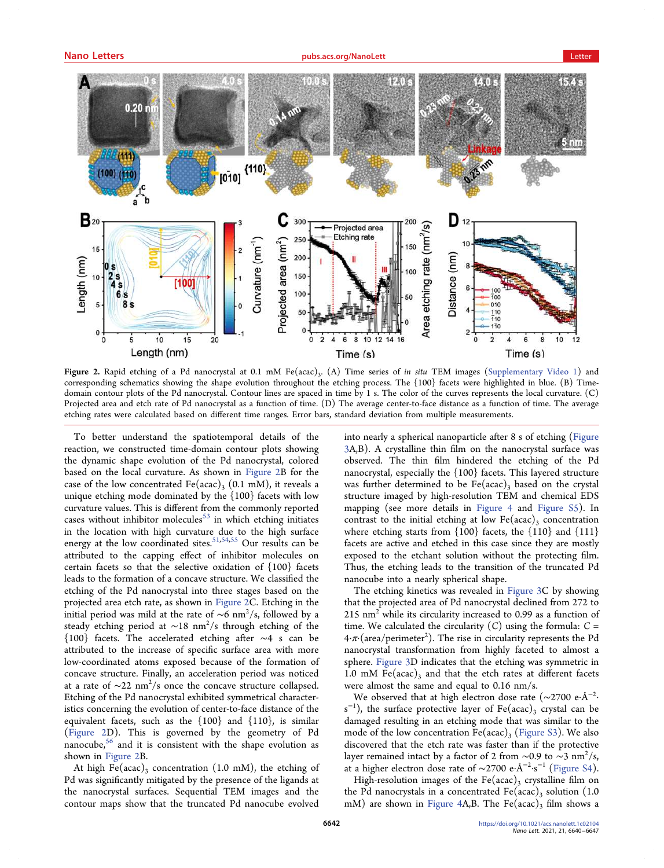<span id="page-2-0"></span>

Figure 2. Rapid etching of a Pd nanocrystal at 0.1 mM Fe(acac)<sub>3</sub>. (A) Time series of in situ TEM images [\(Supplementary Video 1](https://pubs.acs.org/doi/suppl/10.1021/acs.nanolett.1c02104/suppl_file/nl1c02104_si_002.avi)) and corresponding schematics showing the shape evolution throughout the etching process. The {100} facets were highlighted in blue. (B) Timedomain contour plots of the Pd nanocrystal. Contour lines are spaced in time by 1 s. The color of the curves represents the local curvature. (C) Projected area and etch rate of Pd nanocrystal as a function of time. (D) The average center-to-face distance as a function of time. The average etching rates were calculated based on different time ranges. Error bars, standard deviation from multiple measurements.

To better understand the spatiotemporal details of the reaction, we constructed time-domain contour plots showing the dynamic shape evolution of the Pd nanocrystal, colored based on the local curvature. As shown in Figure 2B for the case of the low concentrated Fe(acac)<sub>3</sub> (0.1 mM), it reveals a unique etching mode dominated by the {100} facets with low curvature values. This is different from the commonly reported cases without inhibitor molecules $53$  in which etching initiates in the location with high curvature due to the high surface energy at the low coordinated sites.<sup>[51](#page-7-0),[54,55](#page-7-0)</sup> Our results can be attributed to the capping effect of inhibitor molecules on certain facets so that the selective oxidation of {100} facets leads to the formation of a concave structure. We classified the etching of the Pd nanocrystal into three stages based on the projected area etch rate, as shown in Figure 2C. Etching in the initial period was mild at the rate of ∼6 nm<sup>2</sup>/s, followed by a steady etching period at ∼18 nm<sup>2</sup>/s through etching of the {100} facets. The accelerated etching after ∼4 s can be attributed to the increase of specific surface area with more low-coordinated atoms exposed because of the formation of concave structure. Finally, an acceleration period was noticed at a rate of  $\sim$ 22 nm $^2/s$  once the concave structure collapsed. Etching of the Pd nanocrystal exhibited symmetrical characteristics concerning the evolution of center-to-face distance of the equivalent facets, such as the  $\{100\}$  and  $\{110\}$ , is similar (Figure 2D). This is governed by the geometry of Pd nanocube,<sup>56</sup> and it is consistent with the shape evolution as shown in Figure 2B.

At high Fe(acac)<sub>3</sub> concentration (1.0 mM), the etching of Pd was significantly mitigated by the presence of the ligands at the nanocrystal surfaces. Sequential TEM images and the contour maps show that the truncated Pd nanocube evolved

into nearly a spherical nanoparticle after 8 s of etching [\(Figure](#page-3-0) [3](#page-3-0)A,B). A crystalline thin film on the nanocrystal surface was observed. The thin film hindered the etching of the Pd nanocrystal, especially the {100} facets. This layered structure was further determined to be  $Fe (acac)_3$  based on the crystal structure imaged by high-resolution TEM and chemical EDS mapping (see more details in [Figure 4](#page-4-0) and [Figure S5](https://pubs.acs.org/doi/suppl/10.1021/acs.nanolett.1c02104/suppl_file/nl1c02104_si_001.pdf)). In contrast to the initial etching at low  $Fe (acac)$ <sub>3</sub> concentration where etching starts from  $\{100\}$  facets, the  $\{110\}$  and  $\{111\}$ facets are active and etched in this case since they are mostly exposed to the etchant solution without the protecting film. Thus, the etching leads to the transition of the truncated Pd nanocube into a nearly spherical shape.

The etching kinetics was revealed in [Figure 3C](#page-3-0) by showing that the projected area of Pd nanocrystal declined from 272 to 215 nm2 while its circularity increased to 0.99 as a function of time. We calculated the circularity  $(C)$  using the formula:  $C =$ 4 $\cdot\pi$  (area/perimeter<sup>2</sup>). The rise in circularity represents the Pd nanocrystal transformation from highly faceted to almost a sphere. [Figure 3D](#page-3-0) indicates that the etching was symmetric in 1.0 mM Fe(acac)<sub>3</sub> and that the etch rates at different facets were almost the same and equal to 0.16 nm/s.

We observed that at high electron dose rate (~2700 e·Å<sup>−2</sup>·  $s^{-1}$ ), the surface protective layer of Fe(acac)<sub>3</sub> crystal can be damaged resulting in an etching mode that was similar to the mode of the low concentration  $Fe (acac)_3$  ([Figure S3](https://pubs.acs.org/doi/suppl/10.1021/acs.nanolett.1c02104/suppl_file/nl1c02104_si_001.pdf)). We also discovered that the etch rate was faster than if the protective layer remained intact by a factor of 2 from ∼0.9 to ~3 nm $^2/\mathrm{s}$ , at a higher electron dose rate of ∼2700 e·Å<sup>−</sup><sup>2</sup> ·s <sup>−</sup><sup>1</sup> [\(Figure S4](https://pubs.acs.org/doi/suppl/10.1021/acs.nanolett.1c02104/suppl_file/nl1c02104_si_001.pdf)).

High-resolution images of the Fe(acac)<sub>3</sub> crystalline film on the Pd nanocrystals in a concentrated Fe(acac), solution (1.0) mM) are shown in [Figure 4A](#page-4-0),B. The Fe(acac)<sub>3</sub> film shows a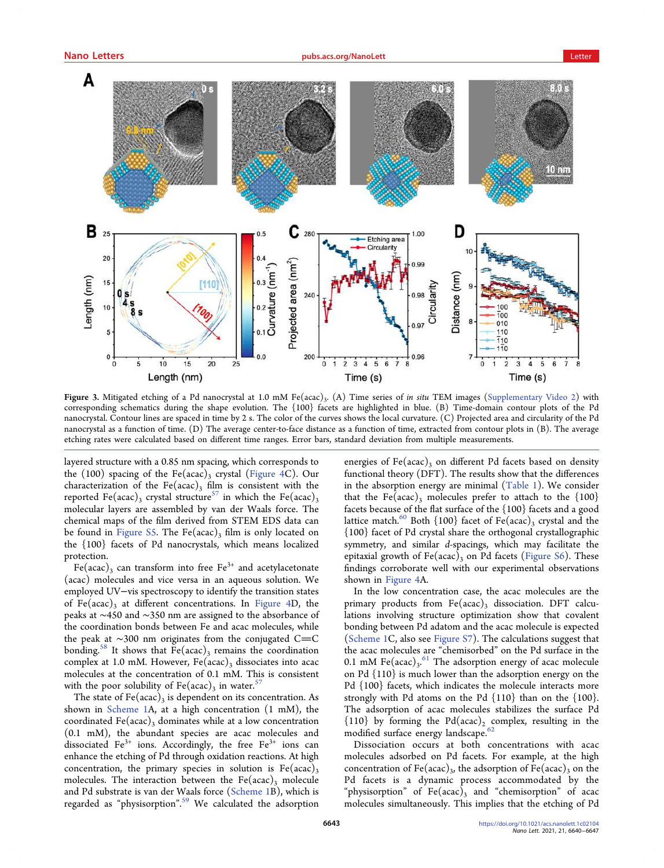<span id="page-3-0"></span>

Figure 3. Mitigated etching of a Pd nanocrystal at 1.0 mM Fe(acac)<sub>3</sub>. (A) Time series of *in situ* TEM images ([Supplementary Video 2\)](https://pubs.acs.org/doi/suppl/10.1021/acs.nanolett.1c02104/suppl_file/nl1c02104_si_003.avi) with corresponding schematics during the shape evolution. The {100} facets are highlighted in blue. (B) Time-domain contour plots of the Pd nanocrystal. Contour lines are spaced in time by 2 s. The color of the curves shows the local curvature. (C) Projected area and circularity of the Pd nanocrystal as a function of time. (D) The average center-to-face distance as a function of time, extracted from contour plots in (B). The average etching rates were calculated based on different time ranges. Error bars, standard deviation from multiple measurements.

layered structure with a 0.85 nm spacing, which corresponds to the (100) spacing of the Fe(acac)<sub>3</sub> crystal [\(Figure 4](#page-4-0)C). Our characterization of the Fe(acac)<sub>3</sub> film is consistent with the reported Fe(acac)<sub>3</sub> crystal structure<sup>57</sup> in which the Fe(acac)<sub>3</sub> molecular layers are assembled by van der Waals force. The chemical maps of the film derived from STEM EDS data can be found in [Figure S5](https://pubs.acs.org/doi/suppl/10.1021/acs.nanolett.1c02104/suppl_file/nl1c02104_si_001.pdf). The Fe(acac)<sub>3</sub> film is only located on the {100} facets of Pd nanocrystals, which means localized protection.

Fe(acac)<sub>3</sub> can transform into free Fe<sup>3+</sup> and acetylacetonate (acac) molecules and vice versa in an aqueous solution. We employed UV−vis spectroscopy to identify the transition states of Fe(acac)<sub>3</sub> at different concentrations. In [Figure 4](#page-4-0)D, the peaks at ∼450 and ∼350 nm are assigned to the absorbance of the coordination bonds between Fe and acac molecules, while the peak at  $\sim$ 300 nm originates from the conjugated C=C bonding.<sup>58</sup> It shows that  $Fe (acac)$ <sub>3</sub> remains the coordination complex at 1.0 mM. However,  $Fe (acac)$ <sub>3</sub> dissociates into acac molecules at the concentration of 0.1 mM. This is consistent with the poor solubility of Fe(acac)<sub>3</sub> in water.<sup>57</sup>

The state of  $Fe (acac)_3$  is dependent on its concentration. As shown in [Scheme 1A](#page-4-0), at a high concentration (1 mM), the coordinated Fe(acac)<sub>3</sub> dominates while at a low concentration (0.1 mM), the abundant species are acac molecules and dissociated Fe<sup>3+</sup> ions. Accordingly, the free Fe<sup>3+</sup> ions can enhance the etching of Pd through oxidation reactions. At high concentration, the primary species in solution is  $Fe (acac)_3$ molecules. The interaction between the  $Fe (acac)_3$  molecule and Pd substrate is van der Waals force ([Scheme 1B](#page-4-0)), which is regarded as "physisorption". [59](#page-7-0) We calculated the adsorption

energies of  $Fe (acac)$ <sub>3</sub> on different Pd facets based on density functional theory (DFT). The results show that the differences in the absorption energy are minimal ([Table 1\)](#page-5-0). We consider that the Fe(acac)<sub>3</sub> molecules prefer to attach to the  $\{100\}$ facets because of the flat surface of the {100} facets and a good lattice match.<sup>60</sup> Both  $\{100\}$  facet of Fe(acac)<sub>3</sub> crystal and the {100} facet of Pd crystal share the orthogonal crystallographic symmetry, and similar d-spacings, which may facilitate the epitaxial growth of  $Fe (acac)_3$  on Pd facets ([Figure S6](https://pubs.acs.org/doi/suppl/10.1021/acs.nanolett.1c02104/suppl_file/nl1c02104_si_001.pdf)). These findings corroborate well with our experimental observations shown in [Figure 4A](#page-4-0).

In the low concentration case, the acac molecules are the primary products from  $Fe (acac)_3$  dissociation. DFT calculations involving structure optimization show that covalent bonding between Pd adatom and the acac molecule is expected ([Scheme 1C](#page-4-0), also see [Figure S7](https://pubs.acs.org/doi/suppl/10.1021/acs.nanolett.1c02104/suppl_file/nl1c02104_si_001.pdf)). The calculations suggest that the acac molecules are "chemisorbed" on the Pd surface in the 0.1 mM  $\text{Fe}(\text{acc})_3$ .<sup>[61](#page-7-0)</sup> The adsorption energy of acac molecule on Pd {110} is much lower than the adsorption energy on the Pd {100} facets, which indicates the molecule interacts more strongly with Pd atoms on the Pd {110} than on the {100}. The adsorption of acac molecules stabilizes the surface Pd  ${110}$  by forming the Pd(acac)<sub>2</sub> complex, resulting in the modified surface energy landscape.<sup>[62](#page-7-0)</sup>

Dissociation occurs at both concentrations with acac molecules adsorbed on Pd facets. For example, at the high concentration of Fe(acac)<sub>3</sub>, the adsorption of Fe(acac)<sub>3</sub> on the Pd facets is a dynamic process accommodated by the "physisorption" of  $Fe (acac)$ <sub>3</sub> and "chemisorption" of acac molecules simultaneously. This implies that the etching of Pd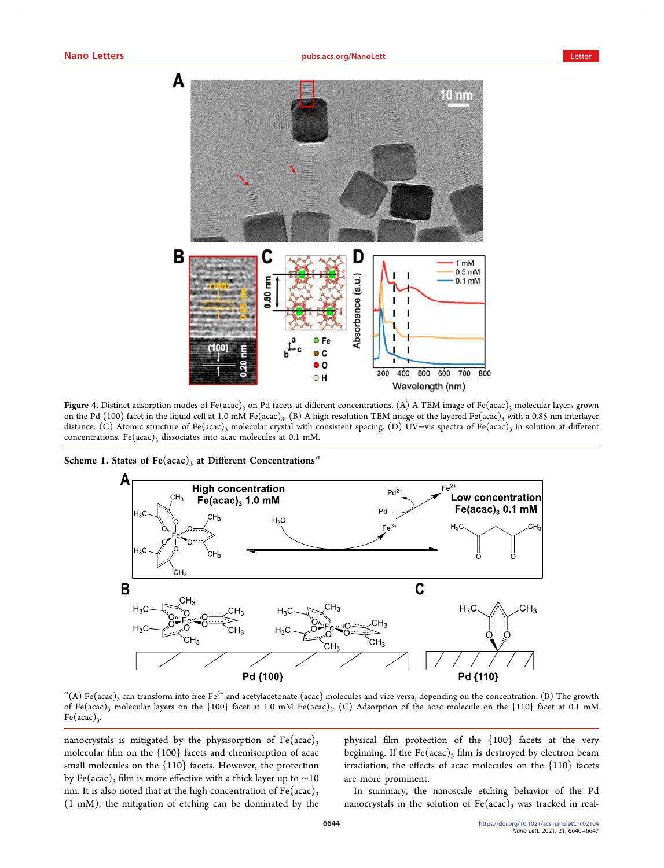<span id="page-4-0"></span>

Figure 4. Distinct adsorption modes of Fe(acac)<sub>3</sub> on Pd facets at different concentrations. (A) A TEM image of Fe(acac)<sub>3</sub> molecular layers grown on the Pd (100) facet in the liquid cell at 1.0 mM Fe(acac)<sub>3</sub>. (B) A high-resolution TEM image of the layered Fe(acac)<sub>3</sub> with a 0.85 nm interlayer distance. (C) Atomic structure of Fe(acac)<sub>3</sub> molecular crystal with consistent spacing. (D) UV−vis spectra of Fe(acac)<sub>3</sub> in solution at different concentrations. Fe(acac)<sub>3</sub> dissociates into acac molecules at 0.1 mM.

Scheme 1. States of Fe(acac)<sub>3</sub> at Different Concentrations<sup>a</sup>



 ${}^a(A)$  Fe(acac)<sub>3</sub> can transform into free Fe<sup>3+</sup> and acetylacetonate (acac) molecules and vice versa, depending on the concentration. (B) The growth of Fe(acac)<sub>3</sub> molecular layers on the {100} facet at 1.0 mM Fe(acac)<sub>3</sub>. (C) Adsorption of the acac molecule on the {110} facet at 0.1 mM  $Fe (acac)_3$ .

nanocrystals is mitigated by the physisorption of  $Fe (acac)$ 3 molecular film on the {100} facets and chemisorption of acac small molecules on the {110} facets. However, the protection by Fe(acac)<sub>3</sub> film is more effective with a thick layer up to ~10 nm. It is also noted that at the high concentration of  $Fe (acac)$ <sub>3</sub> (1 mM), the mitigation of etching can be dominated by the

physical film protection of the {100} facets at the very beginning. If the Fe(acac)<sub>3</sub> film is destroyed by electron beam irradiation, the effects of acac molecules on the {110} facets are more prominent.

In summary, the nanoscale etching behavior of the Pd nanocrystals in the solution of  $Fe (acac)_3$  was tracked in real-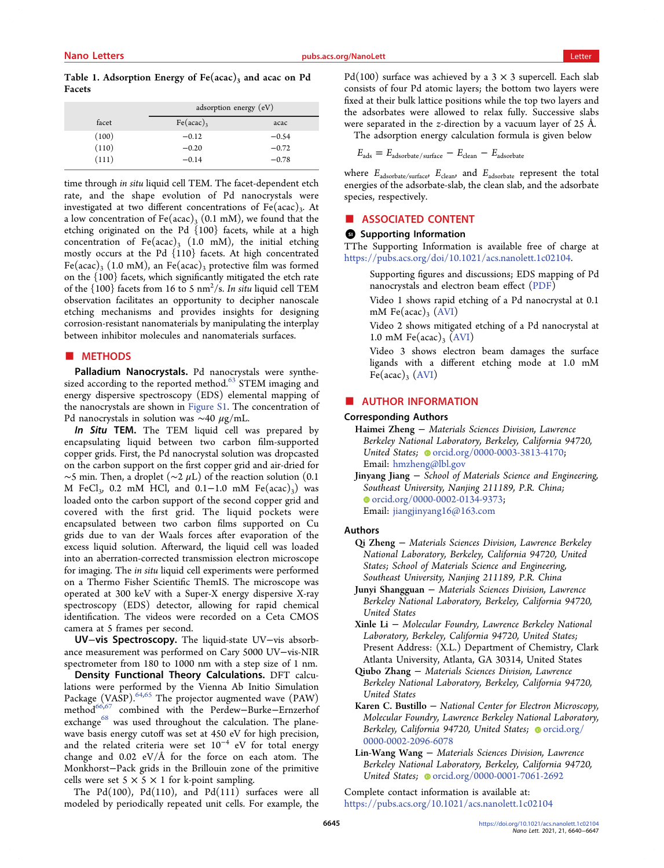<span id="page-5-0"></span>Table 1. Adsorption Energy of  $Fe (acac)$ <sub>3</sub> and acac on Pd Facets

|       | adsorption energy $(eV)$ |         |
|-------|--------------------------|---------|
| facet | $Fe (acac)$ <sub>3</sub> | acac    |
| (100) | $-0.12$                  | $-0.54$ |
| (110) | $-0.20$                  | $-0.72$ |
| (111) | $-0.14$                  | $-0.78$ |

time through in situ liquid cell TEM. The facet-dependent etch rate, and the shape evolution of Pd nanocrystals were investigated at two different concentrations of  $Fe (acac)$ <sub>3</sub>. At a low concentration of Fe(acac)<sub>3</sub> (0.1 mM), we found that the etching originated on the Pd {100} facets, while at a high concentration of Fe(acac)<sub>3</sub> (1.0 mM), the initial etching mostly occurs at the Pd {110} facets. At high concentrated Fe(acac)<sub>3</sub> (1.0 mM), an Fe(acac)<sub>3</sub> protective film was formed on the {100} facets, which significantly mitigated the etch rate of the  $\{100\}$  facets from 16 to 5 nm<sup>2</sup>/s. In situ liquid cell TEM observation facilitates an opportunity to decipher nanoscale etching mechanisms and provides insights for designing corrosion-resistant nanomaterials by manipulating the interplay between inhibitor molecules and nanomaterials surfaces.

## ■ METHODS

Palladium Nanocrystals. Pd nanocrystals were synthe-sized according to the reported method.<sup>[63](#page-7-0)</sup> STEM imaging and energy dispersive spectroscopy (EDS) elemental mapping of the nanocrystals are shown in [Figure S1](https://pubs.acs.org/doi/suppl/10.1021/acs.nanolett.1c02104/suppl_file/nl1c02104_si_001.pdf). The concentration of Pd nanocrystals in solution was ~40  $\mu$ g/mL.

In Situ TEM. The TEM liquid cell was prepared by encapsulating liquid between two carbon film-supported copper grids. First, the Pd nanocrystal solution was dropcasted on the carbon support on the first copper grid and air-dried for  $\sim$ 5 min. Then, a droplet ( $\sim$ 2 µL) of the reaction solution (0.1 M FeCl<sub>3</sub>, 0.2 mM HCl, and 0.1–1.0 mM Fe(acac)<sub>3</sub>) was loaded onto the carbon support of the second copper grid and covered with the first grid. The liquid pockets were encapsulated between two carbon films supported on Cu grids due to van der Waals forces after evaporation of the excess liquid solution. Afterward, the liquid cell was loaded into an aberration-corrected transmission electron microscope for imaging. The in situ liquid cell experiments were performed on a Thermo Fisher Scientific ThemIS. The microscope was operated at 300 keV with a Super-X energy dispersive X-ray spectroscopy (EDS) detector, allowing for rapid chemical identification. The videos were recorded on a Ceta CMOS camera at 5 frames per second.

UV−vis Spectroscopy. The liquid-state UV−vis absorbance measurement was performed on Cary 5000 UV−vis-NIR spectrometer from 180 to 1000 nm with a step size of 1 nm.

Density Functional Theory Calculations. DFT calculations were performed by the Vienna Ab Initio Simulation Package (VASP).<sup>[64,65](#page-7-0)</sup> The projector augmented wave (PAW) method<sup>66,[67](#page-7-0)</sup> combined with the Perdew−Burke−Ernzerhof exchange<sup>68</sup> was used throughout the calculation. The planewave basis energy cutoff was set at 450 eV for high precision, and the related criteria were set 10<sup>−</sup><sup>4</sup> eV for total energy change and 0.02 eV/Å for the force on each atom. The Monkhorst−Pack grids in the Brillouin zone of the primitive cells were set  $5 \times 5 \times 1$  for k-point sampling.

The Pd(100), Pd(110), and Pd(111) surfaces were all modeled by periodically repeated unit cells. For example, the Pd(100) surface was achieved by a  $3 \times 3$  supercell. Each slab consists of four Pd atomic layers; the bottom two layers were fixed at their bulk lattice positions while the top two layers and the adsorbates were allowed to relax fully. Successive slabs were separated in the z-direction by a vacuum layer of 25 Å.

The adsorption energy calculation formula is given below

$$
E_{\rm ads} = E_{\rm adsorbate/surface} - E_{\rm clean} - E_{\rm adsorbate}
$$

where  $E_{\rm adsorbate/surface}$  ,  $E_{\rm clean}$  , and  $E_{\rm adsorbate}$  represent the total energies of the adsorbate-slab, the clean slab, and the adsorbate species, respectively.

#### ■ ASSOCIATED CONTENT

#### **6** Supporting Information

TThe Supporting Information is available free of charge at [https://pubs.acs.org/doi/10.1021/acs.nanolett.1c02104.](https://pubs.acs.org/doi/10.1021/acs.nanolett.1c02104?goto=supporting-info)

Supporting figures and discussions; EDS mapping of Pd nanocrystals and electron beam effect [\(PDF\)](https://pubs.acs.org/doi/suppl/10.1021/acs.nanolett.1c02104/suppl_file/nl1c02104_si_001.pdf)

Video 1 shows rapid etching of a Pd nanocrystal at 0.1 mM Fe(acac)<sub>3</sub> [\(AVI\)](https://pubs.acs.org/doi/suppl/10.1021/acs.nanolett.1c02104/suppl_file/nl1c02104_si_002.avi)

Video 2 shows mitigated etching of a Pd nanocrystal at 1.0 mM Fe(acac)<sub>3</sub> [\(AVI\)](https://pubs.acs.org/doi/suppl/10.1021/acs.nanolett.1c02104/suppl_file/nl1c02104_si_003.avi)

Video 3 shows electron beam damages the surface ligands with a different etching mode at 1.0 mM  $Fe (acac)$ <sub>3</sub>  $(AVI)$  $(AVI)$  $(AVI)$ 

## ■ AUTHOR INFORMATION

## Corresponding Authors

Haimei Zheng − Materials Sciences Division, Lawrence Berkeley National Laboratory, Berkeley, California 94720, United States; [orcid.org/0000-0003-3813-4170](https://orcid.org/0000-0003-3813-4170); Email: [hmzheng@lbl.gov](mailto:hmzheng@lbl.gov)

Jinyang Jiang <sup>−</sup> School of Materials Science and Engineering, Southeast University, Nanjing 211189, P.R. China; [orcid.org/0000-0002-0134-9373;](https://orcid.org/0000-0002-0134-9373) Email: [jiangjinyang16@163.com](mailto:jiangjinyang16@163.com)

#### Authors

- Qi Zheng − Materials Sciences Division, Lawrence Berkeley National Laboratory, Berkeley, California 94720, United States; School of Materials Science and Engineering, Southeast University, Nanjing 211189, P.R. China
- Junyi Shangguan <sup>−</sup> Materials Sciences Division, Lawrence Berkeley National Laboratory, Berkeley, California 94720, United States

Xinle Li <sup>−</sup> Molecular Foundry, Lawrence Berkeley National Laboratory, Berkeley, California 94720, United States; Present Address: (X.L.) Department of Chemistry, Clark Atlanta University, Atlanta, GA 30314, United States

- Qiubo Zhang Materials Sciences Division, Lawrence Berkeley National Laboratory, Berkeley, California 94720, United States
- Karen C. Bustillo <sup>−</sup> National Center for Electron Microscopy, Molecular Foundry, Lawrence Berkeley National Laboratory, Berkeley, California 94720, United States; [orcid.org/](https://orcid.org/0000-0002-2096-6078) [0000-0002-2096-6078](https://orcid.org/0000-0002-2096-6078)
- Lin-Wang Wang <sup>−</sup> Materials Sciences Division, Lawrence Berkeley National Laboratory, Berkeley, California 94720, United States; @ [orcid.org/0000-0001-7061-2692](https://orcid.org/0000-0001-7061-2692)

Complete contact information is available at: [https://pubs.acs.org/10.1021/acs.nanolett.1c02104](https://pubs.acs.org/doi/10.1021/acs.nanolett.1c02104?ref=pdf)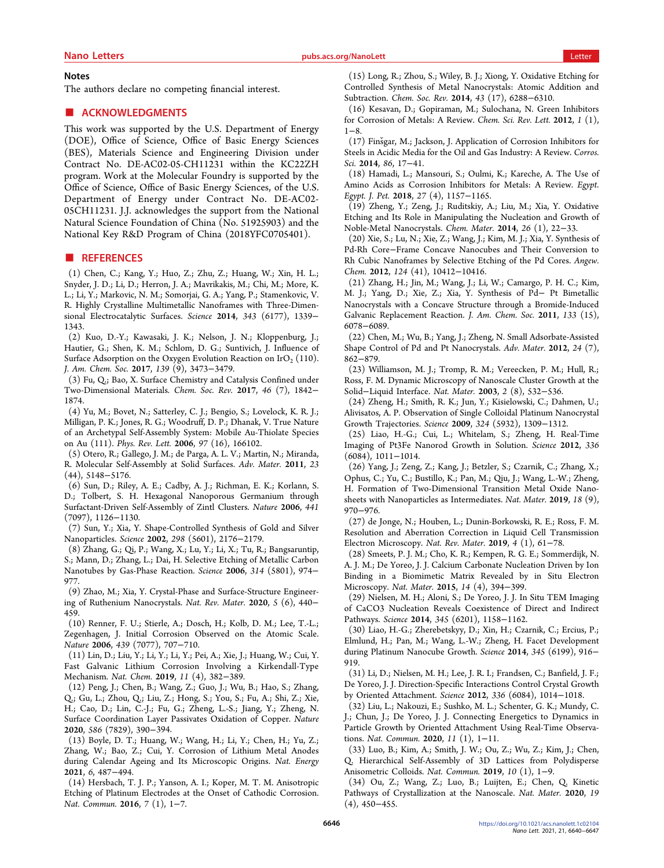#### <span id="page-6-0"></span>**Notes**

The authors declare no competing financial interest.

# ■ ACKNOWLEDGMENTS

This work was supported by the U.S. Department of Energy (DOE), Office of Science, Office of Basic Energy Sciences (BES), Materials Science and Engineering Division under Contract No. DE-AC02-05-CH11231 within the KC22ZH program. Work at the Molecular Foundry is supported by the Office of Science, Office of Basic Energy Sciences, of the U.S. Department of Energy under Contract No. DE-AC02- 05CH11231. J.J. acknowledges the support from the National Natural Science Foundation of China (No. 51925903) and the National Key R&D Program of China (2018YFC0705401).

#### ■ REFERENCES

(1) Chen, C.; Kang, Y.; Huo, Z.; Zhu, Z.; Huang, W.; Xin, H. L.; Snyder, J. D.; Li, D.; Herron, J. A.; Mavrikakis, M.; Chi, M.; More, K. L.; Li, Y.; Markovic, N. M.; Somorjai, G. A.; Yang, P.; Stamenkovic, V. R. [Highly Crystalline Multimetallic Nanoframes with Three-Dimen](https://doi.org/10.1126/science.1249061)[sional Electrocatalytic Surfaces.](https://doi.org/10.1126/science.1249061) Science 2014, 343 (6177), 1339− 1343.

(2) Kuo, D.-Y.; Kawasaki, J. K.; Nelson, J. N.; Kloppenburg, J.; Hautier, G.; Shen, K. M.; Schlom, D. G.; Suntivich, J. [Influence of](https://doi.org/10.1021/jacs.6b11932?urlappend=%3Fref%3DPDF&jav=VoR&rel=cite-as) Surface Adsorption on the Oxygen Evolution Reaction on IrO<sub>2</sub> (110). J. Am. Chem. Soc. 2017, 139 (9), 3473−3479.

(3) Fu, Q.; Bao, X[. Surface Chemistry and Catalysis Confined under](https://doi.org/10.1039/C6CS00424E) [Two-Dimensional Materials.](https://doi.org/10.1039/C6CS00424E) Chem. Soc. Rev. 2017, 46 (7), 1842− 1874.

(4) Yu, M.; Bovet, N.; Satterley, C. J.; Bengio, S.; Lovelock, K. R. J.; Milligan, P. K.; Jones, R. G.; Woodruff, D. P.; Dhanak, V[. True Nature](https://doi.org/10.1103/PhysRevLett.97.166102) [of an Archetypal Self-Assembly System: Mobile Au-Thiolate Species](https://doi.org/10.1103/PhysRevLett.97.166102) [on Au \(111\).](https://doi.org/10.1103/PhysRevLett.97.166102) Phys. Rev. Lett. 2006, 97 (16), 166102.

(5) Otero, R.; Gallego, J. M.; de Parga, A. L. V.; Martin, N.; Miranda, R. [Molecular Self-Assembly at Solid Surfaces.](https://doi.org/10.1002/adma.201102022) Adv. Mater. 2011, 23 (44), 5148−5176.

(6) Sun, D.; Riley, A. E.; Cadby, A. J.; Richman, E. K.; Korlann, S. D.; Tolbert, S. H[. Hexagonal Nanoporous Germanium through](https://doi.org/10.1038/nature04891) [Surfactant-Driven Self-Assembly of Zintl Clusters.](https://doi.org/10.1038/nature04891) Nature 2006, 441 (7097), 1126−1130.

(7) Sun, Y.; Xia, Y[. Shape-Controlled Synthesis of Gold and Silver](https://doi.org/10.1126/science.1077229) [Nanoparticles.](https://doi.org/10.1126/science.1077229) Science 2002, 298 (5601), 2176−2179.

(8) Zhang, G.; Qi, P.; Wang, X.; Lu, Y.; Li, X.; Tu, R.; Bangsaruntip, S.; Mann, D.; Zhang, L.; Dai, H. [Selective Etching of Metallic Carbon](https://doi.org/10.1126/science.1133781) [Nanotubes by Gas-Phase Reaction.](https://doi.org/10.1126/science.1133781) Science 2006, 314 (5801), 974− 977.

(9) Zhao, M.; Xia, Y[. Crystal-Phase and Surface-Structure Engineer](https://doi.org/10.1038/s41578-020-0183-3)[ing of Ruthenium Nanocrystals.](https://doi.org/10.1038/s41578-020-0183-3) Nat. Rev. Mater. 2020, 5 (6), 440− 459.

(10) Renner, F. U.; Stierle, A.; Dosch, H.; Kolb, D. M.; Lee, T.-L.; Zegenhagen, J. [Initial Corrosion Observed on the Atomic Scale.](https://doi.org/10.1038/nature04465) Nature 2006, 439 (7077), 707−710.

(11) Lin, D.; Liu, Y.; Li, Y.; Li, Y.; Pei, A.; Xie, J.; Huang, W.; Cui, Y. [Fast Galvanic Lithium Corrosion Involving a Kirkendall-Type](https://doi.org/10.1038/s41557-018-0203-8) [Mechanism.](https://doi.org/10.1038/s41557-018-0203-8) Nat. Chem. 2019, 11 (4), 382−389.

(12) Peng, J.; Chen, B.; Wang, Z.; Guo, J.; Wu, B.; Hao, S.; Zhang, Q.; Gu, L.; Zhou, Q.; Liu, Z.; Hong, S.; You, S.; Fu, A.; Shi, Z.; Xie, H.; Cao, D.; Lin, C.-J.; Fu, G.; Zheng, L.-S.; Jiang, Y.; Zheng, N. [Surface Coordination Layer Passivates Oxidation of Copper.](https://doi.org/10.1038/s41586-020-2783-x) Nature 2020, 586 (7829), 390−394.

(13) Boyle, D. T.; Huang, W.; Wang, H.; Li, Y.; Chen, H.; Yu, Z.; Zhang, W.; Bao, Z.; Cui, Y. [Corrosion of Lithium Metal Anodes](https://doi.org/10.1038/s41560-021-00787-9) [during Calendar Ageing and Its Microscopic Origins.](https://doi.org/10.1038/s41560-021-00787-9) Nat. Energy 2021, 6, 487−494.

(14) Hersbach, T. J. P.; Yanson, A. I.; Koper, M. T. M. [Anisotropic](https://doi.org/10.1038/ncomms12653) [Etching of Platinum Electrodes at the Onset of Cathodic Corrosion.](https://doi.org/10.1038/ncomms12653) Nat. Commun. 2016, 7 (1), 1-7.

(15) Long, R.; Zhou, S.; Wiley, B. J.; Xiong, Y. [Oxidative Etching for](https://doi.org/10.1039/C4CS00136B) [Controlled Synthesis of Metal Nanocrystals: Atomic Addition and](https://doi.org/10.1039/C4CS00136B) [Subtraction.](https://doi.org/10.1039/C4CS00136B) Chem. Soc. Rev. 2014, 43 (17), 6288−6310.

(16) Kesavan, D.; Gopiraman, M.; Sulochana, N. Green Inhibitors for Corrosion of Metals: A Review. Chem. Sci. Rev. Lett. 2012, 1 (1), 1−8.

(17) Finsgar, M.; Jackson, J. [Application of Corrosion Inhibitors for](https://doi.org/10.1016/j.corsci.2014.04.044) [Steels in Acidic Media for the Oil and Gas Industry: A Review.](https://doi.org/10.1016/j.corsci.2014.04.044) Corros. Sci. 2014, 86, 17−41.

(18) Hamadi, L.; Mansouri, S.; Oulmi, K.; Kareche, A[. The Use of](https://doi.org/10.1016/j.ejpe.2018.04.004) [Amino Acids as Corrosion Inhibitors for Metals: A Review.](https://doi.org/10.1016/j.ejpe.2018.04.004) Egypt. Egypt. J. Pet. 2018, 27 (4), 1157−1165.

(19) Zheng, Y.; Zeng, J.; Ruditskiy, A.; Liu, M.; Xia, Y[. Oxidative](https://doi.org/10.1021/cm402023g?urlappend=%3Fref%3DPDF&jav=VoR&rel=cite-as) [Etching and Its Role in Manipulating the Nucleation and Growth of](https://doi.org/10.1021/cm402023g?urlappend=%3Fref%3DPDF&jav=VoR&rel=cite-as) [Noble-Metal Nanocrystals.](https://doi.org/10.1021/cm402023g?urlappend=%3Fref%3DPDF&jav=VoR&rel=cite-as) Chem. Mater. 2014, 26 (1), 22−33.

(20) Xie, S.; Lu, N.; Xie, Z.; Wang, J.; Kim, M. J.; Xia, Y[. Synthesis of](https://doi.org/10.1002/ange.201206044) Pd-Rh Core−[Frame Concave Nanocubes and Their Conversion to](https://doi.org/10.1002/ange.201206044) [Rh Cubic Nanoframes by Selective Etching of the Pd Cores.](https://doi.org/10.1002/ange.201206044) Angew. Chem. 2012, 124 (41), 10412−10416.

(21) Zhang, H.; Jin, M.; Wang, J.; Li, W.; Camargo, P. H. C.; Kim, M. J.; Yang, D.; Xie, Z.; Xia, Y. [Synthesis of Pd](https://doi.org/10.1021/ja201156s?urlappend=%3Fref%3DPDF&jav=VoR&rel=cite-as)− Pt Bimetallic [Nanocrystals with a Concave Structure through a Bromide-Induced](https://doi.org/10.1021/ja201156s?urlappend=%3Fref%3DPDF&jav=VoR&rel=cite-as) [Galvanic Replacement Reaction.](https://doi.org/10.1021/ja201156s?urlappend=%3Fref%3DPDF&jav=VoR&rel=cite-as) J. Am. Chem. Soc. 2011, 133 (15), 6078−6089.

(22) Chen, M.; Wu, B.; Yang, J.; Zheng, N. [Small Adsorbate-Assisted](https://doi.org/10.1002/adma.201104145) [Shape Control of Pd and Pt Nanocrystals.](https://doi.org/10.1002/adma.201104145) Adv. Mater. 2012, 24 (7), 862−879.

(23) Williamson, M. J.; Tromp, R. M.; Vereecken, P. M.; Hull, R.; Ross, F. M[. Dynamic Microscopy of Nanoscale Cluster Growth at the](https://doi.org/10.1038/nmat944) Solid−[Liquid Interface.](https://doi.org/10.1038/nmat944) Nat. Mater. 2003, 2 (8), 532−536.

(24) Zheng, H.; Smith, R. K.; Jun, Y.; Kisielowski, C.; Dahmen, U.; Alivisatos, A. P. [Observation of Single Colloidal Platinum Nanocrystal](https://doi.org/10.1126/science.1172104) [Growth Trajectories.](https://doi.org/10.1126/science.1172104) Science 2009, 324 (5932), 1309−1312.

(25) Liao, H.-G.; Cui, L.; Whitelam, S.; Zheng, H[. Real-Time](https://doi.org/10.1126/science.1219185) [Imaging of Pt3Fe Nanorod Growth in Solution.](https://doi.org/10.1126/science.1219185) Science 2012, 336 (6084), 1011−1014.

(26) Yang, J.; Zeng, Z.; Kang, J.; Betzler, S.; Czarnik, C.; Zhang, X.; Ophus, C.; Yu, C.; Bustillo, K.; Pan, M.; Qiu, J.; Wang, L.-W.; Zheng, H[. Formation of Two-Dimensional Transition Metal Oxide Nano](https://doi.org/10.1038/s41563-019-0415-3)[sheets with Nanoparticles as Intermediates.](https://doi.org/10.1038/s41563-019-0415-3) Nat. Mater. 2019, 18 (9), 970−976.

(27) de Jonge, N.; Houben, L.; Dunin-Borkowski, R. E.; Ross, F. M. [Resolution and Aberration Correction in Liquid Cell Transmission](https://doi.org/10.1038/s41578-018-0071-2) [Electron Microscopy.](https://doi.org/10.1038/s41578-018-0071-2) Nat. Rev. Mater. 2019, 4 (1), 61−78.

(28) Smeets, P. J. M.; Cho, K. R.; Kempen, R. G. E.; Sommerdijk, N. A. J. M.; De Yoreo, J. J[. Calcium Carbonate Nucleation Driven by Ion](https://doi.org/10.1038/nmat4193) [Binding in a Biomimetic Matrix Revealed by in Situ Electron](https://doi.org/10.1038/nmat4193) [Microscopy.](https://doi.org/10.1038/nmat4193) Nat. Mater. 2015, 14 (4), 394−399.

(29) Nielsen, M. H.; Aloni, S.; De Yoreo, J. [J. In Situ TEM Imaging](https://doi.org/10.1126/science.1254051) [of CaCO3 Nucleation Reveals Coexistence of Direct and Indirect](https://doi.org/10.1126/science.1254051) [Pathways.](https://doi.org/10.1126/science.1254051) Science 2014, 345 (6201), 1158-1162.

(30) Liao, H.-G.; Zherebetskyy, D.; Xin, H.; Czarnik, C.; Ercius, P.; Elmlund, H.; Pan, M.; Wang, L.-W.; Zheng, H. [Facet Development](https://doi.org/10.1126/science.1253149) [during Platinum Nanocube Growth.](https://doi.org/10.1126/science.1253149) Science 2014, 345 (6199), 916− 919.

(31) Li, D.; Nielsen, M. H.; Lee, J. R. I.; Frandsen, C.; Banfield, J. F.; De Yoreo, J. J[. Direction-Specific Interactions Control Crystal Growth](https://doi.org/10.1126/science.1219643) [by Oriented Attachment.](https://doi.org/10.1126/science.1219643) Science 2012, 336 (6084), 1014−1018.

(32) Liu, L.; Nakouzi, E.; Sushko, M. L.; Schenter, G. K.; Mundy, C. J.; Chun, J.; De Yoreo, J. J[. Connecting Energetics to Dynamics in](https://doi.org/10.1038/s41467-020-14719-w) [Particle Growth by Oriented Attachment Using Real-Time Observa](https://doi.org/10.1038/s41467-020-14719-w)[tions.](https://doi.org/10.1038/s41467-020-14719-w) Nat. Commun. 2020, 11 (1), 1−11.

(33) Luo, B.; Kim, A.; Smith, J. W.; Ou, Z.; Wu, Z.; Kim, J.; Chen, Q[. Hierarchical Self-Assembly of 3D Lattices from Polydisperse](https://doi.org/10.1038/s41467-019-09787-6) [Anisometric Colloids.](https://doi.org/10.1038/s41467-019-09787-6) Nat. Commun. 2019, 10 (1), 1−9.

(34) Ou, Z.; Wang, Z.; Luo, B.; Luijten, E.; Chen, Q[. Kinetic](https://doi.org/10.1038/s41563-019-0514-1) [Pathways of Crystallization at the Nanoscale.](https://doi.org/10.1038/s41563-019-0514-1) Nat. Mater. 2020, 19 (4), 450−455.